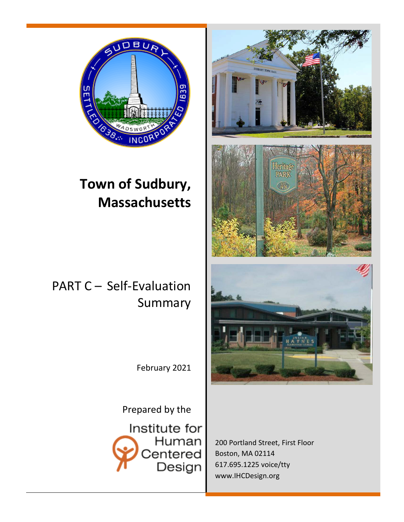

# **Town of Sudbury, Massachusetts**

# PART C – Self-Evaluation Summary

February 2021

Prepared by the Institute for Human Centered Design



200 Portland Street, First Floor Boston, MA 02114 617.695.1225 voice/tty [www.IHCDesign.org](http://www.humancentereddesign.org/)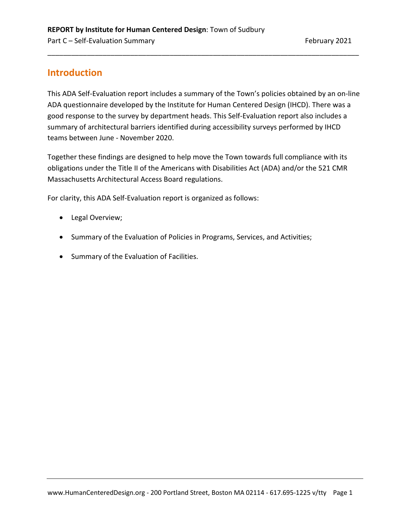# **Introduction**

This ADA Self-Evaluation report includes a summary of the Town's policies obtained by an on-line ADA questionnaire developed by the Institute for Human Centered Design (IHCD). There was a good response to the survey by department heads. This Self-Evaluation report also includes a summary of architectural barriers identified during accessibility surveys performed by IHCD teams between June - November 2020.

\_\_\_\_\_\_\_\_\_\_\_\_\_\_\_\_\_\_\_\_\_\_\_\_\_\_\_\_\_\_\_\_\_\_\_\_\_\_\_\_\_\_\_\_\_\_\_\_\_\_\_\_\_\_\_\_\_\_\_\_\_\_\_\_\_\_\_\_\_\_\_\_\_\_\_\_\_\_\_

Together these findings are designed to help move the Town towards full compliance with its obligations under the Title II of the Americans with Disabilities Act (ADA) and/or the 521 CMR Massachusetts Architectural Access Board regulations.

For clarity, this ADA Self-Evaluation report is organized as follows:

- Legal Overview;
- Summary of the Evaluation of Policies in Programs, Services, and Activities;
- Summary of the Evaluation of Facilities.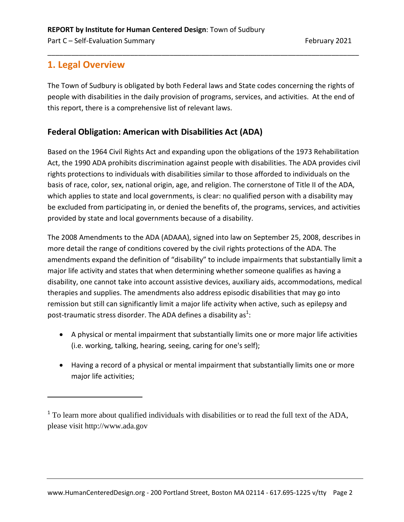# **1. Legal Overview**

 $\overline{a}$ 

The Town of Sudbury is obligated by both Federal laws and State codes concerning the rights of people with disabilities in the daily provision of programs, services, and activities. At the end of this report, there is a comprehensive list of relevant laws.

\_\_\_\_\_\_\_\_\_\_\_\_\_\_\_\_\_\_\_\_\_\_\_\_\_\_\_\_\_\_\_\_\_\_\_\_\_\_\_\_\_\_\_\_\_\_\_\_\_\_\_\_\_\_\_\_\_\_\_\_\_\_\_\_\_\_\_\_\_\_\_\_\_\_\_\_\_\_\_

# **Federal Obligation: American with Disabilities Act (ADA)**

Based on the 1964 Civil Rights Act and expanding upon the obligations of the 1973 Rehabilitation Act, the 1990 ADA prohibits discrimination against people with disabilities. The ADA provides civil rights protections to individuals with disabilities similar to those afforded to individuals on the basis of race, color, sex, national origin, age, and religion. The cornerstone of Title II of the ADA, which applies to state and local governments, is clear: no qualified person with a disability may be excluded from participating in, or denied the benefits of, the programs, services, and activities provided by state and local governments because of a disability.

The 2008 Amendments to the ADA (ADAAA), signed into law on September 25, 2008, describes in more detail the range of conditions covered by the civil rights protections of the ADA. The amendments expand the definition of "disability" to include impairments that substantially limit a major life activity and states that when determining whether someone qualifies as having a disability, one cannot take into account assistive devices, auxiliary aids, accommodations, medical therapies and supplies. The amendments also address episodic disabilities that may go into remission but still can significantly limit a major life activity when active, such as epilepsy and post-traumatic stress disorder. The ADA defines a disability as<sup>1</sup>:

- A physical or mental impairment that substantially limits one or more major life activities (i.e. working, talking, hearing, seeing, caring for one's self);
- Having a record of a physical or mental impairment that substantially limits one or more major life activities;

 $1$  To learn more about qualified individuals with disabilities or to read the full text of the ADA, please visit [http://www.ada.gov](http://www.ada.gov/)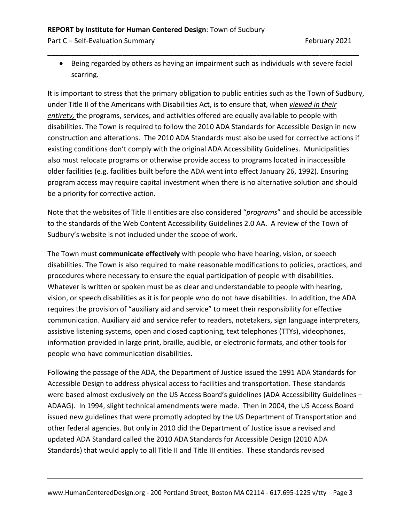Part C – Self-Evaluation Summary February 2021

• Being regarded by others as having an impairment such as individuals with severe facial scarring.

\_\_\_\_\_\_\_\_\_\_\_\_\_\_\_\_\_\_\_\_\_\_\_\_\_\_\_\_\_\_\_\_\_\_\_\_\_\_\_\_\_\_\_\_\_\_\_\_\_\_\_\_\_\_\_\_\_\_\_\_\_\_\_\_\_\_\_\_\_\_\_\_\_\_\_\_\_\_\_

It is important to stress that the primary obligation to public entities such as the Town of Sudbury, under Title II of the Americans with Disabilities Act, is to ensure that, when *viewed in their entirety,* the programs, services, and activities offered are equally available to people with disabilities. The Town is required to follow the 2010 ADA Standards for Accessible Design in new construction and alterations. The 2010 ADA Standards must also be used for corrective actions if existing conditions don't comply with the original ADA Accessibility Guidelines. Municipalities also must relocate programs or otherwise provide access to programs located in inaccessible older facilities (e.g. facilities built before the ADA went into effect January 26, 1992). Ensuring program access may require capital investment when there is no alternative solution and should be a priority for corrective action.

Note that the websites of Title II entities are also considered "*programs*" and should be accessible to the standards of the Web Content Accessibility Guidelines 2.0 AA. A review of the Town of Sudbury's website is not included under the scope of work.

The Town must **communicate effectively** with people who have hearing, vision, or speech disabilities. The Town is also required to make reasonable modifications to policies, practices, and procedures where necessary to ensure the equal participation of people with disabilities. Whatever is written or spoken must be as clear and understandable to people with hearing, vision, or speech disabilities as it is for people who do not have disabilities. In addition, the ADA requires the provision of "auxiliary aid and service" to meet their responsibility for effective communication. Auxiliary aid and service refer to readers, notetakers, sign language interpreters, assistive listening systems, open and closed captioning, text telephones (TTYs), videophones, information provided in large print, braille, audible, or electronic formats, and other tools for people who have communication disabilities.

Following the passage of the ADA, the Department of Justice issued the 1991 ADA Standards for Accessible Design to address physical access to facilities and transportation. These standards were based almost exclusively on the US Access Board's guidelines (ADA Accessibility Guidelines -ADAAG). In 1994, slight technical amendments were made. Then in 2004, the US Access Board issued new guidelines that were promptly adopted by the US Department of Transportation and other federal agencies. But only in 2010 did the Department of Justice issue a revised and updated ADA Standard called the 2010 ADA Standards for Accessible Design (2010 ADA Standards) that would apply to all Title II and Title III entities. These standards revised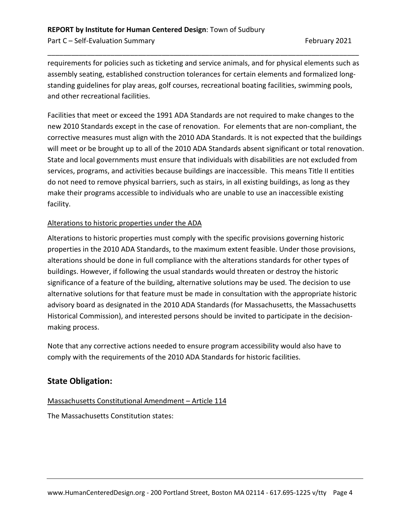requirements for policies such as ticketing and service animals, and for physical elements such as assembly seating, established construction tolerances for certain elements and formalized longstanding guidelines for play areas, golf courses, recreational boating facilities, swimming pools, and other recreational facilities.

\_\_\_\_\_\_\_\_\_\_\_\_\_\_\_\_\_\_\_\_\_\_\_\_\_\_\_\_\_\_\_\_\_\_\_\_\_\_\_\_\_\_\_\_\_\_\_\_\_\_\_\_\_\_\_\_\_\_\_\_\_\_\_\_\_\_\_\_\_\_\_\_\_\_\_\_\_\_\_

Facilities that meet or exceed the 1991 ADA Standards are not required to make changes to the new 2010 Standards except in the case of renovation. For elements that are non-compliant, the corrective measures must align with the 2010 ADA Standards. It is not expected that the buildings will meet or be brought up to all of the 2010 ADA Standards absent significant or total renovation. State and local governments must ensure that individuals with disabilities are not excluded from services, programs, and activities because buildings are inaccessible. This means Title II entities do not need to remove physical barriers, such as stairs, in all existing buildings, as long as they make their programs accessible to individuals who are unable to use an inaccessible existing facility.

#### Alterations to historic properties under the ADA

Alterations to historic properties must comply with the specific provisions governing historic properties in the 2010 ADA Standards, to the maximum extent feasible. Under those provisions, alterations should be done in full compliance with the alterations standards for other types of buildings. However, if following the usual standards would threaten or destroy the historic significance of a feature of the building, alternative solutions may be used. The decision to use alternative solutions for that feature must be made in consultation with the appropriate historic advisory board as designated in the 2010 ADA Standards (for Massachusetts, the Massachusetts Historical Commission), and interested persons should be invited to participate in the decisionmaking process.

Note that any corrective actions needed to ensure program accessibility would also have to comply with the requirements of the 2010 ADA Standards for historic facilities.

# **State Obligation:**

#### Massachusetts Constitutional Amendment – Article 114

The Massachusetts Constitution states: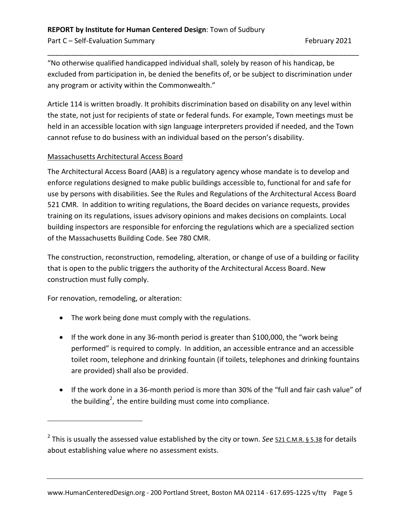"No otherwise qualified handicapped individual shall, solely by reason of his handicap, be excluded from participation in, be denied the benefits of, or be subject to discrimination under any program or activity within the Commonwealth."

\_\_\_\_\_\_\_\_\_\_\_\_\_\_\_\_\_\_\_\_\_\_\_\_\_\_\_\_\_\_\_\_\_\_\_\_\_\_\_\_\_\_\_\_\_\_\_\_\_\_\_\_\_\_\_\_\_\_\_\_\_\_\_\_\_\_\_\_\_\_\_\_\_\_\_\_\_\_\_

Article 114 is written broadly. It prohibits discrimination based on disability on any level within the state, not just for recipients of state or federal funds. For example, Town meetings must be held in an accessible location with sign language interpreters provided if needed, and the Town cannot refuse to do business with an individual based on the person's disability.

#### Massachusetts Architectural Access Board

The Architectural Access Board (AAB) is a regulatory agency whose mandate is to develop and enforce regulations designed to make public buildings accessible to, functional for and safe for use by persons with disabilities. See the Rules and Regulations of the Architectural Access Board 521 CMR. In addition to writing regulations, the Board decides on variance requests, provides training on its regulations, issues advisory opinions and makes decisions on complaints. Local building inspectors are responsible for enforcing the regulations which are a specialized section of the Massachusetts Building Code. See 780 CMR.

The construction, reconstruction, remodeling, alteration, or change of use of a building or facility that is open to the public triggers the authority of the Architectural Access Board. New construction must fully comply.

For renovation, remodeling, or alteration:

 $\overline{a}$ 

- The work being done must comply with the regulations.
- If the work done in any 36-month period is greater than \$100,000, the "work being performed" is required to comply. In addition, an accessible entrance and an accessible toilet room, telephone and drinking fountain (if toilets, telephones and drinking fountains are provided) shall also be provided.
- If the work done in a 36-month period is more than 30% of the "full and fair cash value" of the building<sup>2</sup>, the entire building must come into compliance.

<sup>&</sup>lt;sup>2</sup> This is usually the assessed value established by the city or town. *See* [521 C.M.R. § 5.38](http://www.mass.gov/aab/aab_regs_word.htm) for details about establishing value where no assessment exists.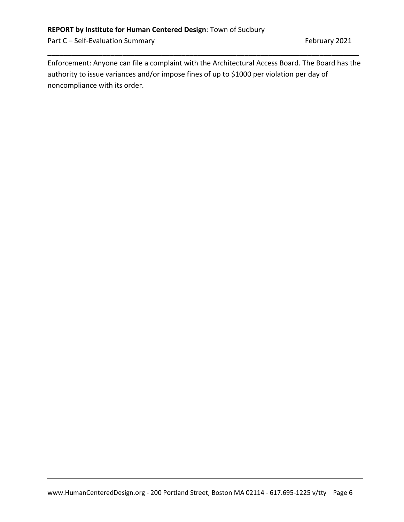Part C – Self-Evaluation Summary February 2021

Enforcement: Anyone can file a complaint with the Architectural Access Board. The Board has the authority to issue variances and/or impose fines of up to \$1000 per violation per day of noncompliance with its order.

\_\_\_\_\_\_\_\_\_\_\_\_\_\_\_\_\_\_\_\_\_\_\_\_\_\_\_\_\_\_\_\_\_\_\_\_\_\_\_\_\_\_\_\_\_\_\_\_\_\_\_\_\_\_\_\_\_\_\_\_\_\_\_\_\_\_\_\_\_\_\_\_\_\_\_\_\_\_\_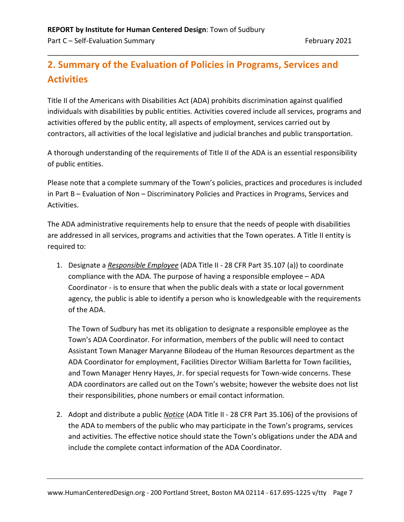# **2. Summary of the Evaluation of Policies in Programs, Services and Activities**

\_\_\_\_\_\_\_\_\_\_\_\_\_\_\_\_\_\_\_\_\_\_\_\_\_\_\_\_\_\_\_\_\_\_\_\_\_\_\_\_\_\_\_\_\_\_\_\_\_\_\_\_\_\_\_\_\_\_\_\_\_\_\_\_\_\_\_\_\_\_\_\_\_\_\_\_\_\_\_

Title II of the Americans with Disabilities Act (ADA) prohibits discrimination against qualified individuals with disabilities by public entities. Activities covered include all services, programs and activities offered by the public entity, all aspects of employment, services carried out by contractors, all activities of the local legislative and judicial branches and public transportation.

A thorough understanding of the requirements of Title II of the ADA is an essential responsibility of public entities.

Please note that a complete summary of the Town's policies, practices and procedures is included in Part B – Evaluation of Non – Discriminatory Policies and Practices in Programs, Services and Activities.

The ADA administrative requirements help to ensure that the needs of people with disabilities are addressed in all services, programs and activities that the Town operates. A Title II entity is required to:

1. Designate a *Responsible Employee* (ADA Title II - [28 CFR Part 35.107](http://www.law.cornell.edu/cfr/text/28/35.107) (a)) to coordinate compliance with the ADA. The purpose of having a responsible employee – ADA Coordinator - is to ensure that when the public deals with a state or local government agency, the public is able to identify a person who is knowledgeable with the requirements of the ADA.

The Town of Sudbury has met its obligation to designate a responsible employee as the Town's ADA Coordinator. For information, members of the public will need to contact Assistant Town Manager Maryanne Bilodeau of the Human Resources department as the ADA Coordinator for employment, Facilities Director William Barletta for Town facilities, and Town Manager Henry Hayes, Jr. for special requests for Town-wide concerns. These ADA coordinators are called out on the Town's website; however the website does not list their responsibilities, phone numbers or email contact information.

2. Adopt and distribute a public *Notice* (ADA Title II - 28 CFR Part 35.106) of the provisions of the ADA to members of the public who may participate in the Town's programs, services and activities. The effective notice should state the Town's obligations under the ADA and include the complete contact information of the ADA Coordinator.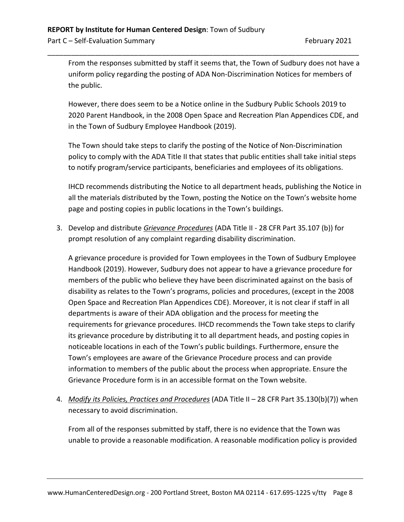From the responses submitted by staff it seems that, the Town of Sudbury does not have a uniform policy regarding the posting of ADA Non-Discrimination Notices for members of the public.

\_\_\_\_\_\_\_\_\_\_\_\_\_\_\_\_\_\_\_\_\_\_\_\_\_\_\_\_\_\_\_\_\_\_\_\_\_\_\_\_\_\_\_\_\_\_\_\_\_\_\_\_\_\_\_\_\_\_\_\_\_\_\_\_\_\_\_\_\_\_\_\_\_\_\_\_\_\_\_

However, there does seem to be a Notice online in the Sudbury Public Schools 2019 to 2020 Parent Handbook, in the 2008 Open Space and Recreation Plan Appendices CDE, and in the Town of Sudbury Employee Handbook (2019).

The Town should take steps to clarify the posting of the Notice of Non-Discrimination policy to comply with the ADA Title II that states that public entities shall take initial steps to notify program/service participants, beneficiaries and employees of its obligations.

IHCD recommends distributing the Notice to all department heads, publishing the Notice in all the materials distributed by the Town, posting the Notice on the Town's website home page and posting copies in public locations in the Town's buildings.

3. Develop and distribute *Grievance Procedures* (ADA Title II - [28 CFR Part 35.107](http://www.law.cornell.edu/cfr/text/28/35.107) (b)) for prompt resolution of any complaint regarding disability discrimination.

A grievance procedure is provided for Town employees in the Town of Sudbury Employee Handbook (2019). However, Sudbury does not appear to have a grievance procedure for members of the public who believe they have been discriminated against on the basis of disability as relates to the Town's programs, policies and procedures, (except in the 2008 Open Space and Recreation Plan Appendices CDE). Moreover, it is not clear if staff in all departments is aware of their ADA obligation and the process for meeting the requirements for grievance procedures. IHCD recommends the Town take steps to clarify its grievance procedure by distributing it to all department heads, and posting copies in noticeable locations in each of the Town's public buildings. Furthermore, ensure the Town's employees are aware of the Grievance Procedure process and can provide information to members of the public about the process when appropriate. Ensure the Grievance Procedure form is in an accessible format on the Town website.

4. *Modify its Policies, Practices and Procedures* (ADA Title II – 28 CFR Part 35.130(b)(7)) when necessary to avoid discrimination.

From all of the responses submitted by staff, there is no evidence that the Town was unable to provide a reasonable modification. A reasonable modification policy is provided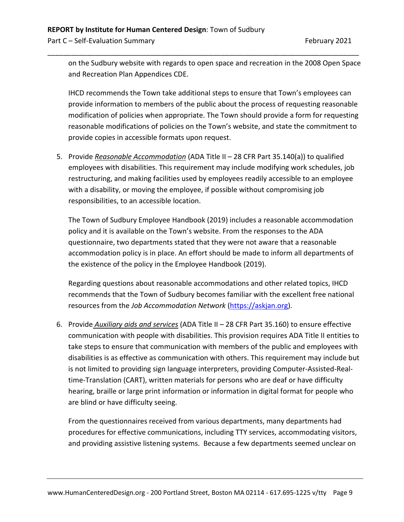on the Sudbury website with regards to open space and recreation in the 2008 Open Space and Recreation Plan Appendices CDE.

\_\_\_\_\_\_\_\_\_\_\_\_\_\_\_\_\_\_\_\_\_\_\_\_\_\_\_\_\_\_\_\_\_\_\_\_\_\_\_\_\_\_\_\_\_\_\_\_\_\_\_\_\_\_\_\_\_\_\_\_\_\_\_\_\_\_\_\_\_\_\_\_\_\_\_\_\_\_\_

IHCD recommends the Town take additional steps to ensure that Town's employees can provide information to members of the public about the process of requesting reasonable modification of policies when appropriate. The Town should provide a form for requesting reasonable modifications of policies on the Town's website, and state the commitment to provide copies in accessible formats upon request.

5. Provide *Reasonable Accommodation* (ADA Title II – 28 CFR Part 35.140(a)) to qualified employees with disabilities. This requirement may include modifying work schedules, job restructuring, and making facilities used by employees readily accessible to an employee with a disability, or moving the employee, if possible without compromising job responsibilities, to an accessible location.

The Town of Sudbury Employee Handbook (2019) includes a reasonable accommodation policy and it is available on the Town's website. From the responses to the ADA questionnaire, two departments stated that they were not aware that a reasonable accommodation policy is in place. An effort should be made to inform all departments of the existence of the policy in the Employee Handbook (2019).

Regarding questions about reasonable accommodations and other related topics, IHCD recommends that the Town of Sudbury becomes familiar with the excellent free national resources from the *Job Accommodation Network* [\(https://askjan.org\)](https://askjan.org/).

6. Provide *Auxiliary aids and services* (ADA Title II – 28 CFR Part 35.160) to ensure effective communication with people with disabilities. This provision requires ADA Title II entities to take steps to ensure that communication with members of the public and employees with disabilities is as effective as communication with others. This requirement may include but is not limited to providing sign language interpreters, providing Computer-Assisted-Realtime-Translation (CART), written materials for persons who are deaf or have difficulty hearing, braille or large print information or information in digital format for people who are blind or have difficulty seeing.

From the questionnaires received from various departments, many departments had procedures for effective communications, including TTY services, accommodating visitors, and providing assistive listening systems. Because a few departments seemed unclear on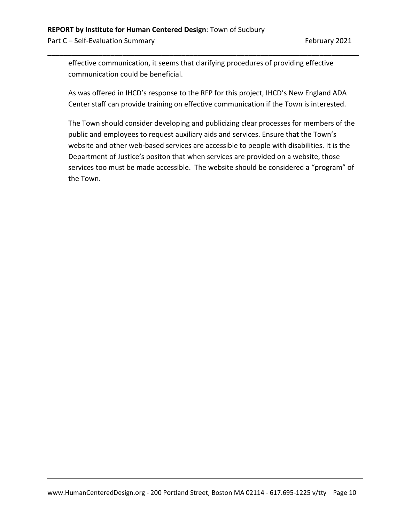Part C – Self-Evaluation Summary February 2021

effective communication, it seems that clarifying procedures of providing effective communication could be beneficial.

\_\_\_\_\_\_\_\_\_\_\_\_\_\_\_\_\_\_\_\_\_\_\_\_\_\_\_\_\_\_\_\_\_\_\_\_\_\_\_\_\_\_\_\_\_\_\_\_\_\_\_\_\_\_\_\_\_\_\_\_\_\_\_\_\_\_\_\_\_\_\_\_\_\_\_\_\_\_\_

As was offered in IHCD's response to the RFP for this project, IHCD's New England ADA Center staff can provide training on effective communication if the Town is interested.

The Town should consider developing and publicizing clear processes for members of the public and employees to request auxiliary aids and services. Ensure that the Town's website and other web-based services are accessible to people with disabilities. It is the Department of Justice's positon that when services are provided on a website, those services too must be made accessible. The website should be considered a "program" of the Town.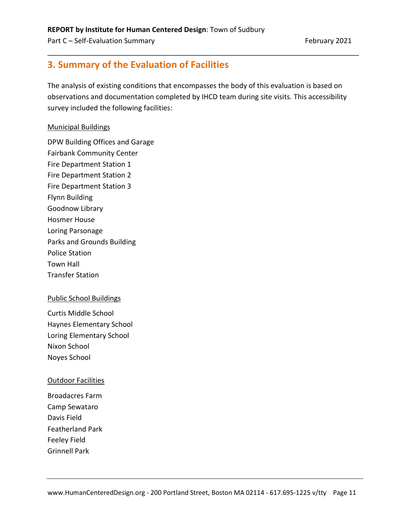# **3. Summary of the Evaluation of Facilities**

The analysis of existing conditions that encompasses the body of this evaluation is based on observations and documentation completed by IHCD team during site visits. This accessibility survey included the following facilities:

\_\_\_\_\_\_\_\_\_\_\_\_\_\_\_\_\_\_\_\_\_\_\_\_\_\_\_\_\_\_\_\_\_\_\_\_\_\_\_\_\_\_\_\_\_\_\_\_\_\_\_\_\_\_\_\_\_\_\_\_\_\_\_\_\_\_\_\_\_\_\_\_\_\_\_\_\_\_\_

#### Municipal Buildings

DPW Building Offices and Garage Fairbank Community Center Fire Department Station 1 Fire Department Station 2 Fire Department Station 3 Flynn Building Goodnow Library Hosmer House Loring Parsonage Parks and Grounds Building Police Station Town Hall Transfer Station

#### Public School Buildings

Curtis Middle School Haynes Elementary School Loring Elementary School Nixon School Noyes School

#### Outdoor Facilities

Broadacres Farm Camp Sewataro Davis Field Featherland Park Feeley Field Grinnell Park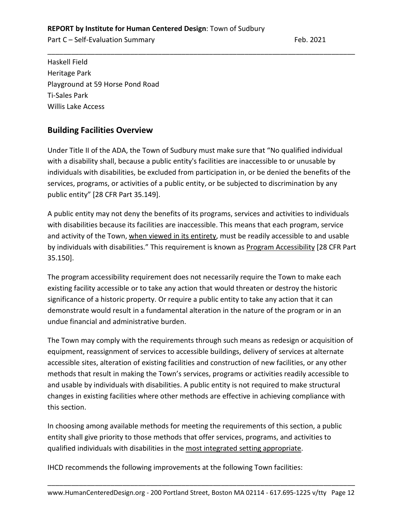Part C – Self-Evaluation Summary Feb. 2021

Haskell Field Heritage Park Playground at 59 Horse Pond Road Ti-Sales Park Willis Lake Access

# **Building Facilities Overview**

Under Title II of the ADA, the Town of Sudbury must make sure that "No qualified individual with a disability shall, because a public entity's facilities are inaccessible to or unusable by individuals with disabilities, be excluded from participation in, or be denied the benefits of the services, programs, or activities of a public entity, or be subjected to discrimination by any public entity" [28 CFR Part 35.149].

\_\_\_\_\_\_\_\_\_\_\_\_\_\_\_\_\_\_\_\_\_\_\_\_\_\_\_\_\_\_\_\_\_\_\_\_\_\_\_\_\_\_\_\_\_\_\_\_\_\_\_\_\_\_\_\_\_\_\_\_\_\_\_\_\_\_\_\_\_\_\_\_\_\_\_\_\_\_

A public entity may not deny the benefits of its programs, services and activities to individuals with disabilities because its facilities are inaccessible. This means that each program, service and activity of the Town, when viewed in its entirety, must be readily accessible to and usable by individuals with disabilities." This requirement is known as Program Accessibility [28 CFR Part 35.150].

The program accessibility requirement does not necessarily require the Town to make each existing facility accessible or to take any action that would threaten or destroy the historic significance of a historic property. Or require a public entity to take any action that it can demonstrate would result in a fundamental alteration in the nature of the program or in an undue financial and administrative burden.

The Town may comply with the requirements through such means as redesign or acquisition of equipment, reassignment of services to accessible buildings, delivery of services at alternate accessible sites, alteration of existing facilities and construction of new facilities, or any other methods that result in making the Town's services, programs or activities readily accessible to and usable by individuals with disabilities. A public entity is not required to make structural changes in existing facilities where other methods are effective in achieving compliance with this section.

In choosing among available methods for meeting the requirements of this section, a public entity shall give priority to those methods that offer services, programs, and activities to qualified individuals with disabilities in the most integrated setting appropriate.

IHCD recommends the following improvements at the following Town facilities: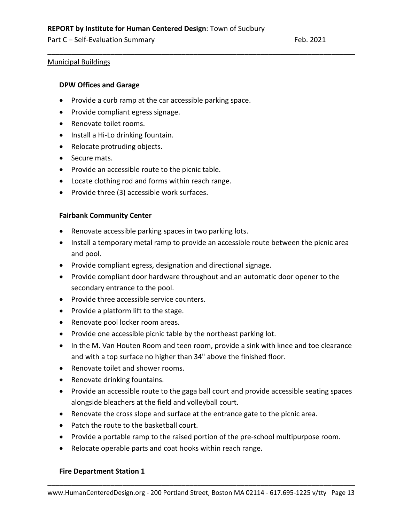#### Municipal Buildings

#### **DPW Offices and Garage**

- Provide a curb ramp at the car accessible parking space.
- Provide compliant egress signage.
- Renovate toilet rooms.
- Install a Hi-Lo drinking fountain.
- Relocate protruding objects.
- Secure mats.
- Provide an accessible route to the picnic table.
- Locate clothing rod and forms within reach range.
- Provide three (3) accessible work surfaces.

#### **Fairbank Community Center**

- Renovate accessible parking spaces in two parking lots.
- Install a temporary metal ramp to provide an accessible route between the picnic area and pool.

\_\_\_\_\_\_\_\_\_\_\_\_\_\_\_\_\_\_\_\_\_\_\_\_\_\_\_\_\_\_\_\_\_\_\_\_\_\_\_\_\_\_\_\_\_\_\_\_\_\_\_\_\_\_\_\_\_\_\_\_\_\_\_\_\_\_\_\_\_\_\_\_\_\_\_\_\_\_

- Provide compliant egress, designation and directional signage.
- Provide compliant door hardware throughout and an automatic door opener to the secondary entrance to the pool.
- Provide three accessible service counters.
- Provide a platform lift to the stage.
- Renovate pool locker room areas.
- Provide one accessible picnic table by the northeast parking lot.
- In the M. Van Houten Room and teen room, provide a sink with knee and toe clearance and with a top surface no higher than 34" above the finished floor.
- Renovate toilet and shower rooms.
- Renovate drinking fountains.
- Provide an accessible route to the gaga ball court and provide accessible seating spaces alongside bleachers at the field and volleyball court.
- Renovate the cross slope and surface at the entrance gate to the picnic area.
- Patch the route to the basketball court.
- Provide a portable ramp to the raised portion of the pre-school multipurpose room.
- Relocate operable parts and coat hooks within reach range.

#### **Fire Department Station 1**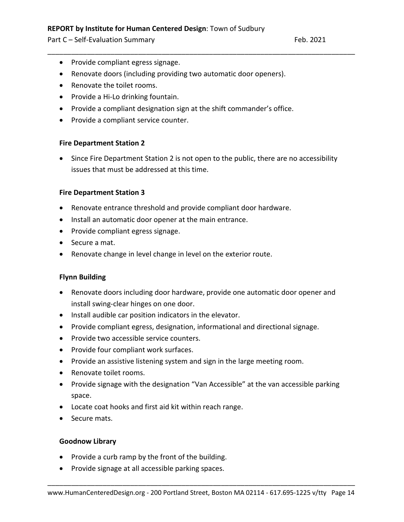Part C – Self-Evaluation Summary Feb. 2021

- Provide compliant egress signage.
- Renovate doors (including providing two automatic door openers).
- Renovate the toilet rooms.
- Provide a Hi-Lo drinking fountain.
- Provide a compliant designation sign at the shift commander's office.
- Provide a compliant service counter.

#### **Fire Department Station 2**

• Since Fire Department Station 2 is not open to the public, there are no accessibility issues that must be addressed at this time.

\_\_\_\_\_\_\_\_\_\_\_\_\_\_\_\_\_\_\_\_\_\_\_\_\_\_\_\_\_\_\_\_\_\_\_\_\_\_\_\_\_\_\_\_\_\_\_\_\_\_\_\_\_\_\_\_\_\_\_\_\_\_\_\_\_\_\_\_\_\_\_\_\_\_\_\_\_\_

#### **Fire Department Station 3**

- Renovate entrance threshold and provide compliant door hardware.
- Install an automatic door opener at the main entrance.
- Provide compliant egress signage.
- Secure a mat.
- Renovate change in level change in level on the exterior route.

# **Flynn Building**

- Renovate doors including door hardware, provide one automatic door opener and install swing-clear hinges on one door.
- Install audible car position indicators in the elevator.
- Provide compliant egress, designation, informational and directional signage.
- Provide two accessible service counters.
- Provide four compliant work surfaces.
- Provide an assistive listening system and sign in the large meeting room.
- Renovate toilet rooms.
- Provide signage with the designation "Van Accessible" at the van accessible parking space.
- Locate coat hooks and first aid kit within reach range.
- Secure mats.

#### **Goodnow Library**

- Provide a curb ramp by the front of the building.
- Provide signage at all accessible parking spaces.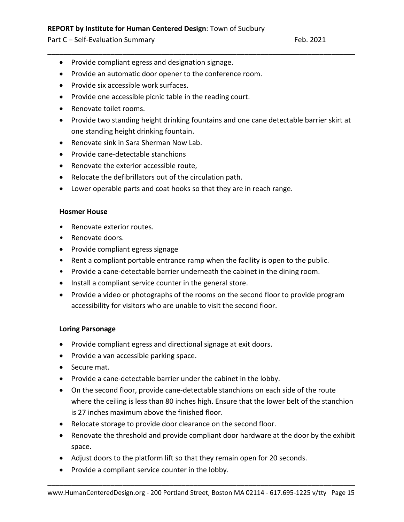Part C – Self-Evaluation Summary Feb. 2021

- Provide compliant egress and designation signage.
- Provide an automatic door opener to the conference room.
- Provide six accessible work surfaces.
- Provide one accessible picnic table in the reading court.
- Renovate toilet rooms.
- Provide two standing height drinking fountains and one cane detectable barrier skirt at one standing height drinking fountain.

\_\_\_\_\_\_\_\_\_\_\_\_\_\_\_\_\_\_\_\_\_\_\_\_\_\_\_\_\_\_\_\_\_\_\_\_\_\_\_\_\_\_\_\_\_\_\_\_\_\_\_\_\_\_\_\_\_\_\_\_\_\_\_\_\_\_\_\_\_\_\_\_\_\_\_\_\_\_

- Renovate sink in Sara Sherman Now Lab.
- Provide cane-detectable stanchions
- Renovate the exterior accessible route,
- Relocate the defibrillators out of the circulation path.
- Lower operable parts and coat hooks so that they are in reach range.

#### **Hosmer House**

- Renovate exterior routes.
- Renovate doors.
- Provide compliant egress signage
- Rent a compliant portable entrance ramp when the facility is open to the public.
- Provide a cane-detectable barrier underneath the cabinet in the dining room.
- Install a compliant service counter in the general store.
- Provide a video or photographs of the rooms on the second floor to provide program accessibility for visitors who are unable to visit the second floor.

# **Loring Parsonage**

- Provide compliant egress and directional signage at exit doors.
- Provide a van accessible parking space.
- Secure mat.
- Provide a cane-detectable barrier under the cabinet in the lobby.
- On the second floor, provide cane-detectable stanchions on each side of the route where the ceiling is less than 80 inches high. Ensure that the lower belt of the stanchion is 27 inches maximum above the finished floor.
- Relocate storage to provide door clearance on the second floor.
- Renovate the threshold and provide compliant door hardware at the door by the exhibit space.
- Adjust doors to the platform lift so that they remain open for 20 seconds.
- Provide a compliant service counter in the lobby.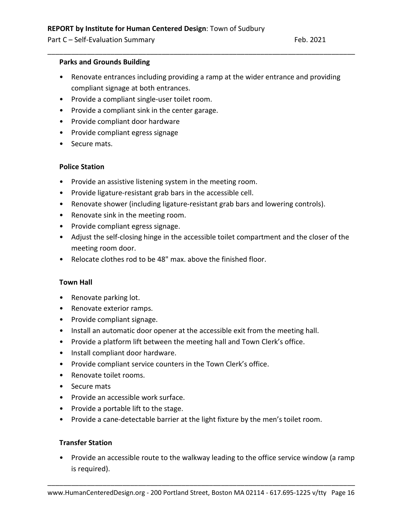#### **Parks and Grounds Building**

• Renovate entrances including providing a ramp at the wider entrance and providing compliant signage at both entrances.

\_\_\_\_\_\_\_\_\_\_\_\_\_\_\_\_\_\_\_\_\_\_\_\_\_\_\_\_\_\_\_\_\_\_\_\_\_\_\_\_\_\_\_\_\_\_\_\_\_\_\_\_\_\_\_\_\_\_\_\_\_\_\_\_\_\_\_\_\_\_\_\_\_\_\_\_\_\_

- Provide a compliant single-user toilet room.
- Provide a compliant sink in the center garage.
- Provide compliant door hardware
- Provide compliant egress signage
- Secure mats.

#### **Police Station**

- Provide an assistive listening system in the meeting room.
- Provide ligature-resistant grab bars in the accessible cell.
- Renovate shower (including ligature-resistant grab bars and lowering controls).
- Renovate sink in the meeting room.
- Provide compliant egress signage.
- Adjust the self-closing hinge in the accessible toilet compartment and the closer of the meeting room door.
- Relocate clothes rod to be 48" max. above the finished floor.

#### **Town Hall**

- Renovate parking lot.
- Renovate exterior ramps.
- Provide compliant signage.
- Install an automatic door opener at the accessible exit from the meeting hall.
- Provide a platform lift between the meeting hall and Town Clerk's office.
- Install compliant door hardware.
- Provide compliant service counters in the Town Clerk's office.
- Renovate toilet rooms.
- Secure mats
- Provide an accessible work surface.
- Provide a portable lift to the stage.
- Provide a cane-detectable barrier at the light fixture by the men's toilet room.

#### **Transfer Station**

• Provide an accessible route to the walkway leading to the office service window (a ramp is required).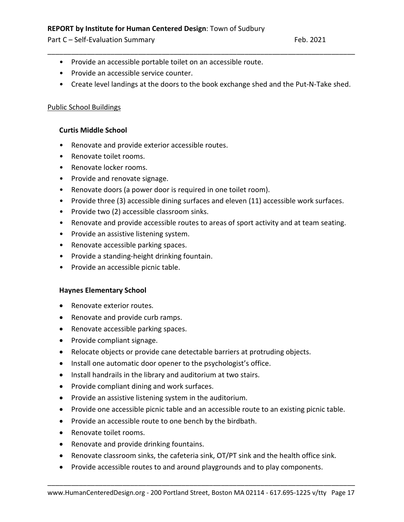Part C – Self-Evaluation Summary Feb. 2021

- Provide an accessible portable toilet on an accessible route.
- Provide an accessible service counter.
- Create level landings at the doors to the book exchange shed and the Put-N-Take shed.

\_\_\_\_\_\_\_\_\_\_\_\_\_\_\_\_\_\_\_\_\_\_\_\_\_\_\_\_\_\_\_\_\_\_\_\_\_\_\_\_\_\_\_\_\_\_\_\_\_\_\_\_\_\_\_\_\_\_\_\_\_\_\_\_\_\_\_\_\_\_\_\_\_\_\_\_\_\_

# Public School Buildings

# **Curtis Middle School**

- Renovate and provide exterior accessible routes.
- Renovate toilet rooms.
- Renovate locker rooms.
- Provide and renovate signage.
- Renovate doors (a power door is required in one toilet room).
- Provide three (3) accessible dining surfaces and eleven (11) accessible work surfaces.
- Provide two (2) accessible classroom sinks.
- Renovate and provide accessible routes to areas of sport activity and at team seating.
- Provide an assistive listening system.
- Renovate accessible parking spaces.
- Provide a standing-height drinking fountain.
- Provide an accessible picnic table.

# **Haynes Elementary School**

- Renovate exterior routes.
- Renovate and provide curb ramps.
- Renovate accessible parking spaces.
- Provide compliant signage.
- Relocate objects or provide cane detectable barriers at protruding objects.
- Install one automatic door opener to the psychologist's office.
- Install handrails in the library and auditorium at two stairs.
- Provide compliant dining and work surfaces.
- Provide an assistive listening system in the auditorium.
- Provide one accessible picnic table and an accessible route to an existing picnic table.
- Provide an accessible route to one bench by the birdbath.
- Renovate toilet rooms.
- Renovate and provide drinking fountains.
- Renovate classroom sinks, the cafeteria sink, OT/PT sink and the health office sink.
- Provide accessible routes to and around playgrounds and to play components.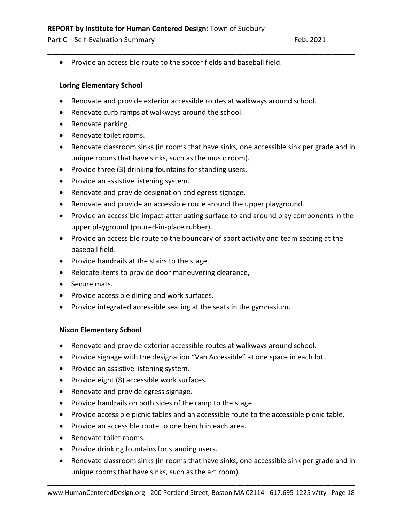Part C – Self-Evaluation Summary Feb. 2021

• Provide an accessible route to the soccer fields and baseball field.

# **Loring Elementary School**

• Renovate and provide exterior accessible routes at walkways around school.

\_\_\_\_\_\_\_\_\_\_\_\_\_\_\_\_\_\_\_\_\_\_\_\_\_\_\_\_\_\_\_\_\_\_\_\_\_\_\_\_\_\_\_\_\_\_\_\_\_\_\_\_\_\_\_\_\_\_\_\_\_\_\_\_\_\_\_\_\_\_\_\_\_\_\_\_\_\_

- Renovate curb ramps at walkways around the school.
- Renovate parking.
- Renovate toilet rooms.
- Renovate classroom sinks (in rooms that have sinks, one accessible sink per grade and in unique rooms that have sinks, such as the music room).
- Provide three (3) drinking fountains for standing users.
- Provide an assistive listening system.
- Renovate and provide designation and egress signage.
- Renovate and provide an accessible route around the upper playground.
- Provide an accessible impact-attenuating surface to and around play components in the upper playground (poured-in-place rubber).
- Provide an accessible route to the boundary of sport activity and team seating at the baseball field.
- Provide handrails at the stairs to the stage.
- Relocate items to provide door maneuvering clearance,
- Secure mats.
- Provide accessible dining and work surfaces.
- Provide integrated accessible seating at the seats in the gymnasium.

# **Nixon Elementary School**

- Renovate and provide exterior accessible routes at walkways around school.
- Provide signage with the designation "Van Accessible" at one space in each lot.
- Provide an assistive listening system.
- Provide eight (8) accessible work surfaces.
- Renovate and provide egress signage.
- Provide handrails on both sides of the ramp to the stage.
- Provide accessible picnic tables and an accessible route to the accessible picnic table.
- Provide an accessible route to one bench in each area.
- Renovate toilet rooms.
- Provide drinking fountains for standing users.
- Renovate classroom sinks (in rooms that have sinks, one accessible sink per grade and in unique rooms that have sinks, such as the art room).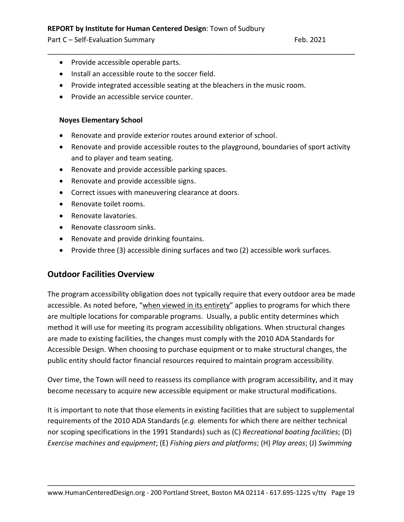- Provide accessible operable parts.
- Install an accessible route to the soccer field.
- Provide integrated accessible seating at the bleachers in the music room.
- Provide an accessible service counter.

#### **Noyes Elementary School**

- Renovate and provide exterior routes around exterior of school.
- Renovate and provide accessible routes to the playground, boundaries of sport activity and to player and team seating.

\_\_\_\_\_\_\_\_\_\_\_\_\_\_\_\_\_\_\_\_\_\_\_\_\_\_\_\_\_\_\_\_\_\_\_\_\_\_\_\_\_\_\_\_\_\_\_\_\_\_\_\_\_\_\_\_\_\_\_\_\_\_\_\_\_\_\_\_\_\_\_\_\_\_\_\_\_\_

- Renovate and provide accessible parking spaces.
- Renovate and provide accessible signs.
- Correct issues with maneuvering clearance at doors.
- Renovate toilet rooms.
- Renovate lavatories.
- Renovate classroom sinks.
- Renovate and provide drinking fountains.
- Provide three (3) accessible dining surfaces and two (2) accessible work surfaces.

# **Outdoor Facilities Overview**

The program accessibility obligation does not typically require that every outdoor area be made accessible. As noted before, "when viewed in its entirety" applies to programs for which there are multiple locations for comparable programs. Usually, a public entity determines which method it will use for meeting its program accessibility obligations. When structural changes are made to existing facilities, the changes must comply with the 2010 ADA Standards for Accessible Design. When choosing to purchase equipment or to make structural changes, the public entity should factor financial resources required to maintain program accessibility.

Over time, the Town will need to reassess its compliance with program accessibility, and it may become necessary to acquire new accessible equipment or make structural modifications.

It is important to note that those elements in existing facilities that are subject to supplemental requirements of the 2010 ADA Standards (*e.g.* elements for which there are neither technical nor scoping specifications in the 1991 Standards) such as (C) *Recreational boating facilities*; (D) *Exercise machines and equipment*; (E) *Fishing piers and platforms*; (H) *Play areas*; (J) *Swimming*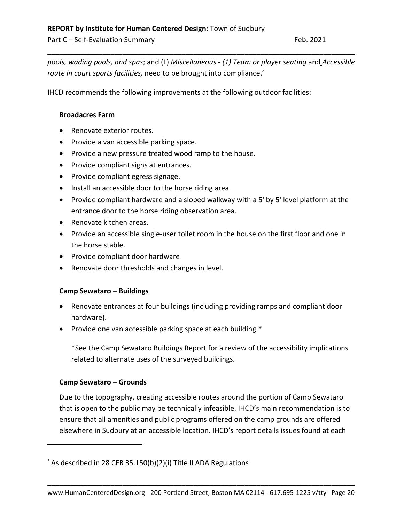*pools, wading pools, and spas*; and (L) *Miscellaneous - (1) Team or player seating* and *Accessible route in court sports facilities,* need to be brought into compliance.<sup>3</sup>

\_\_\_\_\_\_\_\_\_\_\_\_\_\_\_\_\_\_\_\_\_\_\_\_\_\_\_\_\_\_\_\_\_\_\_\_\_\_\_\_\_\_\_\_\_\_\_\_\_\_\_\_\_\_\_\_\_\_\_\_\_\_\_\_\_\_\_\_\_\_\_\_\_\_\_\_\_\_

IHCD recommends the following improvements at the following outdoor facilities:

# **Broadacres Farm**

- Renovate exterior routes.
- Provide a van accessible parking space.
- Provide a new pressure treated wood ramp to the house.
- Provide compliant signs at entrances.
- Provide compliant egress signage.
- Install an accessible door to the horse riding area.
- Provide compliant hardware and a sloped walkway with a 5' by 5' level platform at the entrance door to the horse riding observation area.
- Renovate kitchen areas.
- Provide an accessible single-user toilet room in the house on the first floor and one in the horse stable.
- Provide compliant door hardware
- Renovate door thresholds and changes in level.

# **Camp Sewataro – Buildings**

- Renovate entrances at four buildings (including providing ramps and compliant door hardware).
- Provide one van accessible parking space at each building.\*

\*See the Camp Sewataro Buildings Report for a review of the accessibility implications related to alternate uses of the surveyed buildings.

# **Camp Sewataro – Grounds**

 $\overline{a}$ 

Due to the topography, creating accessible routes around the portion of Camp Sewataro that is open to the public may be technically infeasible. IHCD's main recommendation is to ensure that all amenities and public programs offered on the camp grounds are offered elsewhere in Sudbury at an accessible location. IHCD's report details issues found at each

 $3$  As described in 28 CFR 35.150(b)(2)(i) Title II ADA Regulations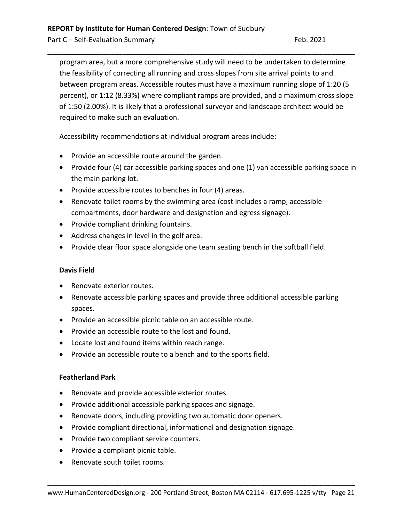program area, but a more comprehensive study will need to be undertaken to determine the feasibility of correcting all running and cross slopes from site arrival points to and between program areas. Accessible routes must have a maximum running slope of 1:20 (5 percent), or 1:12 (8.33%) where compliant ramps are provided, and a maximum cross slope of 1:50 (2.00%). It is likely that a professional surveyor and landscape architect would be required to make such an evaluation.

\_\_\_\_\_\_\_\_\_\_\_\_\_\_\_\_\_\_\_\_\_\_\_\_\_\_\_\_\_\_\_\_\_\_\_\_\_\_\_\_\_\_\_\_\_\_\_\_\_\_\_\_\_\_\_\_\_\_\_\_\_\_\_\_\_\_\_\_\_\_\_\_\_\_\_\_\_\_

Accessibility recommendations at individual program areas include:

- Provide an accessible route around the garden.
- Provide four (4) car accessible parking spaces and one (1) van accessible parking space in the main parking lot.
- Provide accessible routes to benches in four (4) areas.
- Renovate toilet rooms by the swimming area (cost includes a ramp, accessible compartments, door hardware and designation and egress signage).
- Provide compliant drinking fountains.
- Address changes in level in the golf area.
- Provide clear floor space alongside one team seating bench in the softball field.

# **Davis Field**

- Renovate exterior routes.
- Renovate accessible parking spaces and provide three additional accessible parking spaces.
- Provide an accessible picnic table on an accessible route.
- Provide an accessible route to the lost and found.
- Locate lost and found items within reach range.
- Provide an accessible route to a bench and to the sports field.

# **Featherland Park**

- Renovate and provide accessible exterior routes.
- Provide additional accessible parking spaces and signage.
- Renovate doors, including providing two automatic door openers.
- Provide compliant directional, informational and designation signage.
- Provide two compliant service counters.
- Provide a compliant picnic table.
- Renovate south toilet rooms.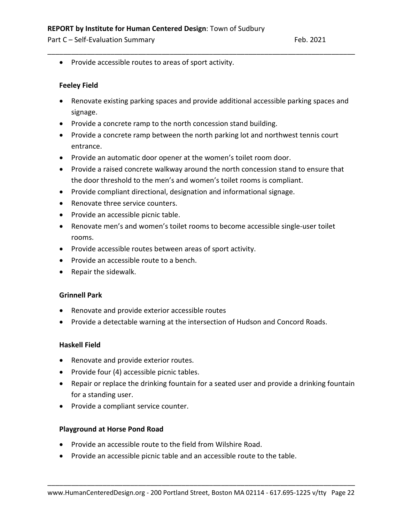Part C – Self-Evaluation Summary Feb. 2021

• Provide accessible routes to areas of sport activity.

#### **Feeley Field**

• Renovate existing parking spaces and provide additional accessible parking spaces and signage.

\_\_\_\_\_\_\_\_\_\_\_\_\_\_\_\_\_\_\_\_\_\_\_\_\_\_\_\_\_\_\_\_\_\_\_\_\_\_\_\_\_\_\_\_\_\_\_\_\_\_\_\_\_\_\_\_\_\_\_\_\_\_\_\_\_\_\_\_\_\_\_\_\_\_\_\_\_\_

- Provide a concrete ramp to the north concession stand building.
- Provide a concrete ramp between the north parking lot and northwest tennis court entrance.
- Provide an automatic door opener at the women's toilet room door.
- Provide a raised concrete walkway around the north concession stand to ensure that the door threshold to the men's and women's toilet rooms is compliant.
- Provide compliant directional, designation and informational signage.
- Renovate three service counters.
- Provide an accessible picnic table.
- Renovate men's and women's toilet rooms to become accessible single-user toilet rooms.
- Provide accessible routes between areas of sport activity.
- Provide an accessible route to a bench.
- Repair the sidewalk.

#### **Grinnell Park**

- Renovate and provide exterior accessible routes
- Provide a detectable warning at the intersection of Hudson and Concord Roads.

#### **Haskell Field**

- Renovate and provide exterior routes.
- Provide four (4) accessible picnic tables.
- Repair or replace the drinking fountain for a seated user and provide a drinking fountain for a standing user.
- Provide a compliant service counter.

#### **Playground at Horse Pond Road**

- Provide an accessible route to the field from Wilshire Road.
- Provide an accessible picnic table and an accessible route to the table.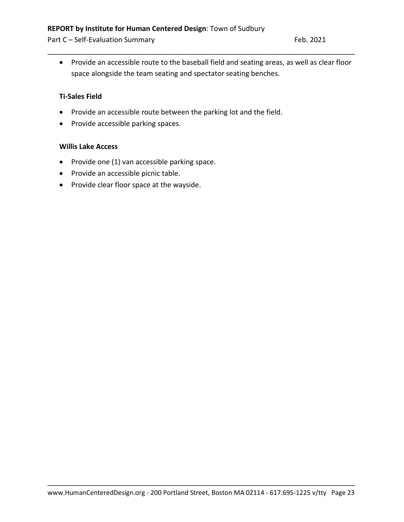• Provide an accessible route to the baseball field and seating areas, as well as clear floor space alongside the team seating and spectator seating benches.

\_\_\_\_\_\_\_\_\_\_\_\_\_\_\_\_\_\_\_\_\_\_\_\_\_\_\_\_\_\_\_\_\_\_\_\_\_\_\_\_\_\_\_\_\_\_\_\_\_\_\_\_\_\_\_\_\_\_\_\_\_\_\_\_\_\_\_\_\_\_\_\_\_\_\_\_\_\_

## **Ti-Sales Field**

- Provide an accessible route between the parking lot and the field.
- Provide accessible parking spaces.

#### **Willis Lake Access**

- Provide one (1) van accessible parking space.
- Provide an accessible picnic table.
- Provide clear floor space at the wayside.